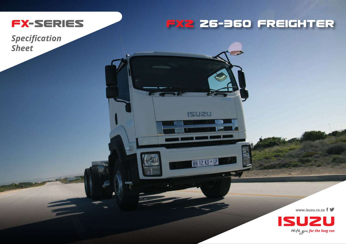

## FX2 26-360 FREIGHTER

 $\overline{\phantom{a}}$ 

**ISUZU** 

**BH 12 KD \*\* GP** 

**His** 

**Specification Sheet** 

www.isuzu.co.za f >